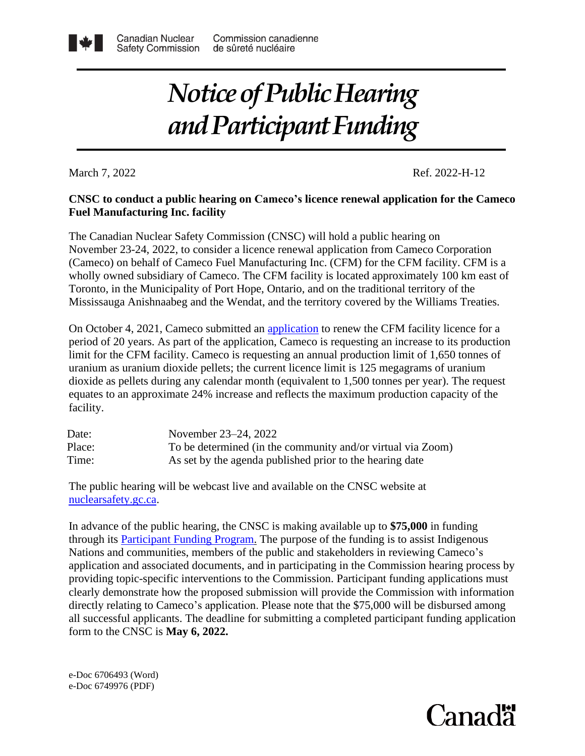## *Notice of Public Hearing and Participant Funding*

March 7, 2022<br>Ref. 2022-H-12

#### **CNSC to conduct a public hearing on Cameco's licence renewal application for the Cameco Fuel Manufacturing Inc. facility**

The Canadian Nuclear Safety Commission (CNSC) will hold a public hearing on November 23-24, 2022, to consider a licence renewal application from Cameco Corporation (Cameco) on behalf of Cameco Fuel Manufacturing Inc. (CFM) for the CFM facility. CFM is a wholly owned subsidiary of Cameco. The CFM facility is located approximately 100 km east of Toronto, in the Municipality of Port Hope, Ontario, and on the traditional territory of the Mississauga Anishnaabeg and the Wendat, and the territory covered by the Williams Treaties.

On October 4, 2021, Cameco submitted an [application](https://www.camecofuel.com/business/cameco-fuel-manufacturing/20-year-licence-renewal) to renew the CFM facility licence for a period of 20 years. As part of the application, Cameco is requesting an increase to its production limit for the CFM facility. Cameco is requesting an annual production limit of 1,650 tonnes of uranium as uranium dioxide pellets; the current licence limit is 125 megagrams of uranium dioxide as pellets during any calendar month (equivalent to 1,500 tonnes per year). The request equates to an approximate 24% increase and reflects the maximum production capacity of the facility.

| Date:  | November 23–24, 2022                                        |
|--------|-------------------------------------------------------------|
| Place: | To be determined (in the community and/or virtual via Zoom) |
| Time:  | As set by the agenda published prior to the hearing date    |

The public hearing will be webcast live and available on the CNSC website at [nuclearsafety.gc.ca.](http://www.nuclearsafety.gc.ca/eng/)

In advance of the public hearing, the CNSC is making available up to **\$75,000** in funding through its [Participant Funding Program.](http://www.nuclearsafety.gc.ca/eng/the-commission/participant-funding-program/opportunities/index.cfm) The purpose of the funding is to assist Indigenous Nations and communities, members of the public and stakeholders in reviewing Cameco's application and associated documents, and in participating in the Commission hearing process by providing topic-specific interventions to the Commission. Participant funding applications must clearly demonstrate how the proposed submission will provide the Commission with information directly relating to Cameco's application. Please note that the \$75,000 will be disbursed among all successful applicants. The deadline for submitting a completed participant funding application form to the CNSC is **May 6, 2022.**

e-Doc 6706493 (Word) e-Doc 6749976 (PDF)

# Canadä